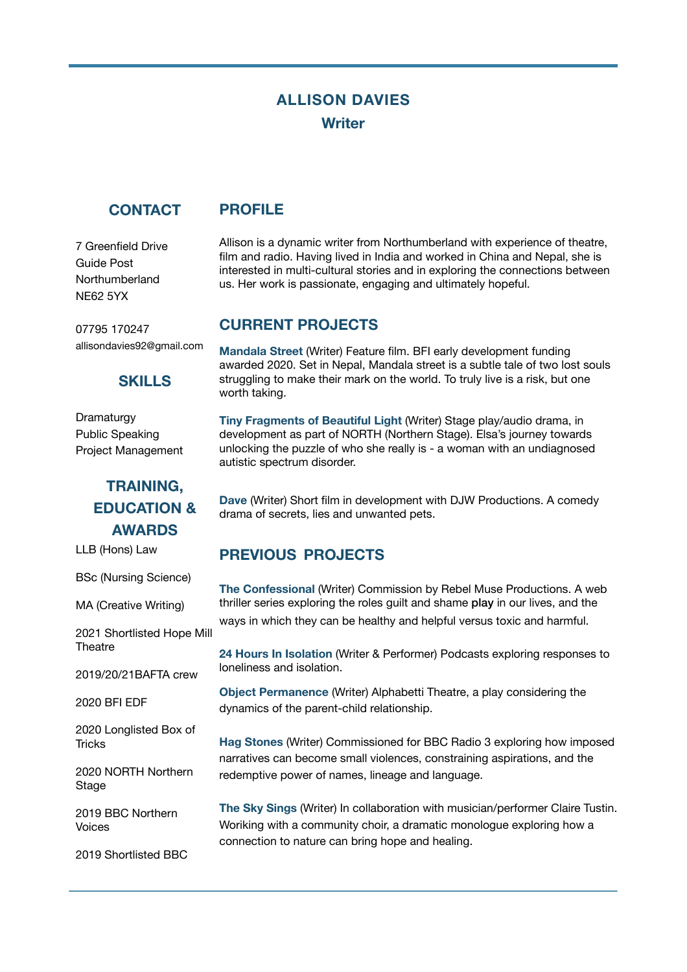# **ALLISON DAVIES Writer**

### **CONTACT**

**PROFILE** 

7 Greenfield Drive Guide Post Northumberland NE62 5YX

07795 170247 allisondavies92@gmail.com

#### **SKILLS**

Dramaturgy Public Speaking Project Management

# **TRAINING, EDUCATION & AWARDS**

LLB (Hons) Law

BSc (Nursing Science)

MA (Creative Writing)

2021 Shortlisted Hope Mill **Theatre** 

2019/20/21BAFTA crew

2020 BFI EDF

2020 Longlisted Box of **Tricks** 

2020 NORTH Northern **Stage** 

2019 BBC Northern Voices

2019 Shortlisted BBC

Allison is a dynamic writer from Northumberland with experience of theatre, film and radio. Having lived in India and worked in China and Nepal, she is interested in multi-cultural stories and in exploring the connections between us. Her work is passionate, engaging and ultimately hopeful.

# **CURRENT PROJECTS**

**Mandala Street** (Writer) Feature film. BFI early development funding awarded 2020. Set in Nepal, Mandala street is a subtle tale of two lost souls struggling to make their mark on the world. To truly live is a risk, but one worth taking.

**Tiny Fragments of Beautiful Light** (Writer) Stage play/audio drama, in development as part of NORTH (Northern Stage). Elsa's journey towards unlocking the puzzle of who she really is - a woman with an undiagnosed autistic spectrum disorder.

**Dave** (Writer) Short film in development with DJW Productions. A comedy drama of secrets, lies and unwanted pets.

# **PREVIOUS PROJECTS**

**The Confessional** (Writer) Commission by Rebel Muse Productions. A web thriller series exploring the roles guilt and shame play in our lives, and the ways in which they can be healthy and helpful versus toxic and harmful.

**24 Hours In Isolation** (Writer & Performer) Podcasts exploring responses to loneliness and isolation.

**Object Permanence** (Writer) Alphabetti Theatre, a play considering the dynamics of the parent-child relationship.

**Hag Stones** (Writer) Commissioned for BBC Radio 3 exploring how imposed narratives can become small violences, constraining aspirations, and the redemptive power of names, lineage and language.

**The Sky Sings** (Writer) In collaboration with musician/performer Claire Tustin. Woriking with a community choir, a dramatic monologue exploring how a connection to nature can bring hope and healing.